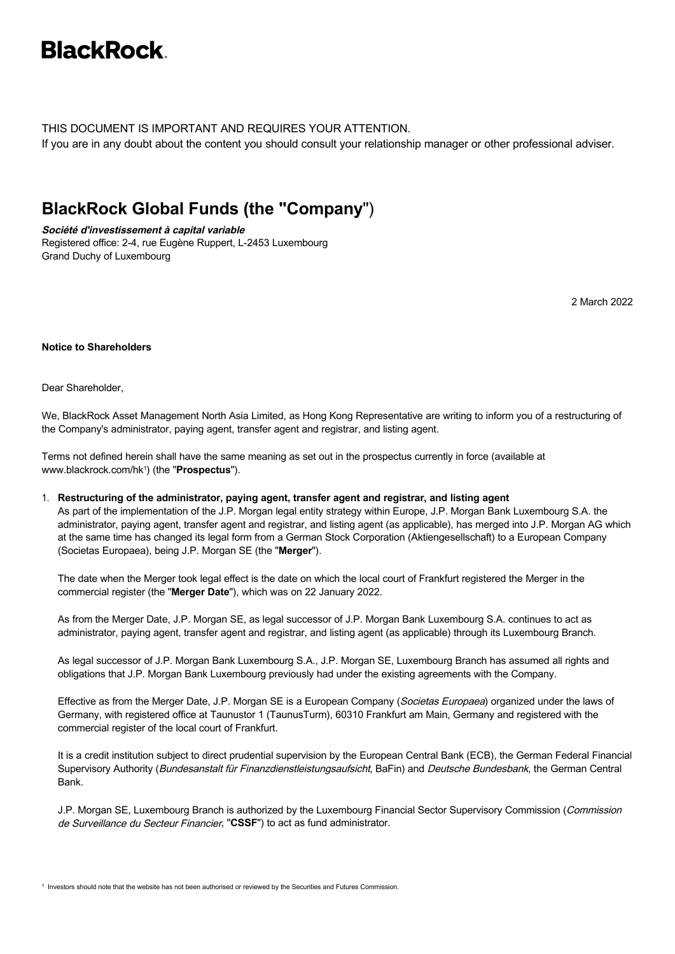# **BlackRock**

THIS DOCUMENT IS IMPORTANT AND REQUIRES YOUR ATTENTION.

If you are in any doubt about the content you should consult your relationship manager or other professional adviser.

### **BlackRock Global Funds (the "Company**")

**Société d'investissement à capital variable** Registered office: 2-4, rue Eugène Ruppert, L-2453 Luxembourg Grand Duchy of Luxembourg

2 March 2022

### **Notice to Shareholders**

Dear Shareholder,

We, BlackRock Asset Management North Asia Limited, as Hong Kong Representative are writing to inform you of a restructuring of the Company's administrator, paying agent, transfer agent and registrar, and listing agent.

Terms not defined herein shall have the same meaning as set out in the prospectus currently in force (available at [www.blackrock.com/hk1](http://www.blackrock.com/hk) ) (the "**Prospectus**").

1. **Restructuring of the administrator, paying agent, transfer agent and registrar, and listing agent** As part of the implementation of the J.P. Morgan legal entity strategy within Europe, J.P. Morgan Bank Luxembourg S.A. the administrator, paying agent, transfer agent and registrar, and listing agent (as applicable), has merged into J.P. Morgan AG which at the same time has changed its legal form from a German Stock Corporation (Aktiengesellschaft) to a European Company (Societas Europaea), being J.P. Morgan SE (the "**Merger**").

The date when the Merger took legal effect is the date on which the local court of Frankfurt registered the Merger in the commercial register (the "**Merger Date**"), which was on 22 January 2022.

As from the Merger Date, J.P. Morgan SE, as legal successor of J.P. Morgan Bank Luxembourg S.A. continues to act as administrator, paying agent, transfer agent and registrar, and listing agent (as applicable) through its Luxembourg Branch.

As legal successor of J.P. Morgan Bank Luxembourg S.A., J.P. Morgan SE, Luxembourg Branch has assumed all rights and obligations that J.P. Morgan Bank Luxembourg previously had under the existing agreements with the Company.

Effective as from the Merger Date, J.P. Morgan SE is a European Company (Societas Europaea) organized under the laws of Germany, with registered office at Taunustor 1 (TaunusTurm), 60310 Frankfurt am Main, Germany and registered with the commercial register of the local court of Frankfurt.

It is a credit institution subject to direct prudential supervision by the European Central Bank (ECB), the German Federal Financial Supervisory Authority (Bundesanstalt für Finanzdienstleistungsaufsicht, BaFin) and Deutsche Bundesbank, the German Central Bank.

J.P. Morgan SE, Luxembourg Branch is authorized by the Luxembourg Financial Sector Supervisory Commission (Commission de Surveillance du Secteur Financier, "**CSSF**") to act as fund administrator.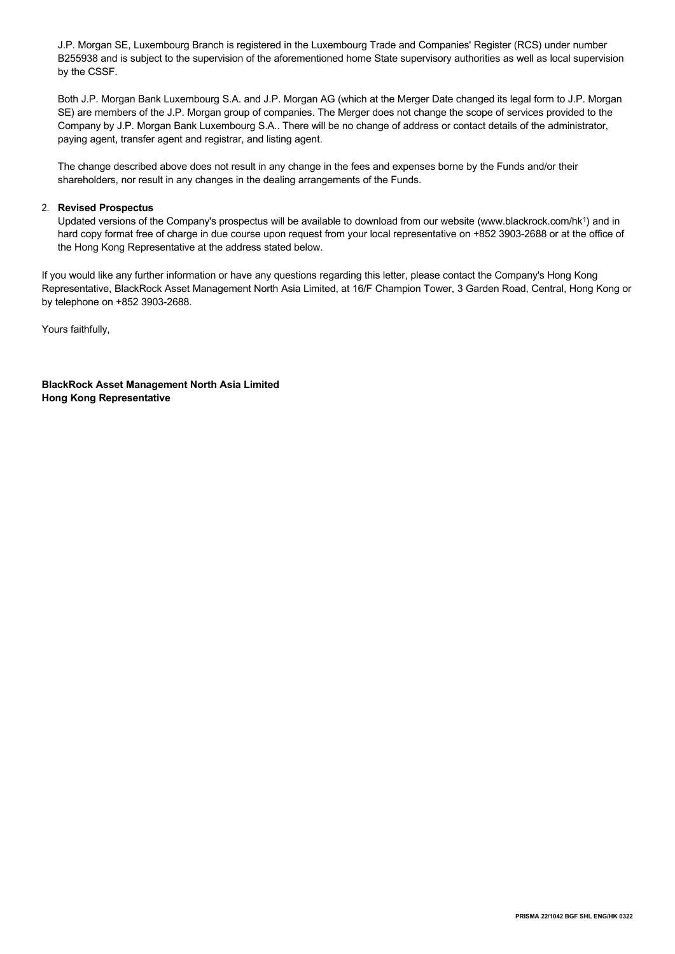J.P. Morgan SE, Luxembourg Branch is registered in the Luxembourg Trade and Companies' Register (RCS) under number B255938 and is subject to the supervision of the aforementioned home State supervisory authorities as well as local supervision by the CSSF.

Both J.P. Morgan Bank Luxembourg S.A. and J.P. Morgan AG (which at the Merger Date changed its legal form to J.P. Morgan SE) are members of the J.P. Morgan group of companies. The Merger does not change the scope of services provided to the Company by J.P. Morgan Bank Luxembourg S.A.. There will be no change of address or contact details of the administrator, paying agent, transfer agent and registrar, and listing agent.

The change described above does not result in any change in the fees and expenses borne by the Funds and/or their shareholders, nor result in any changes in the dealing arrangements of the Funds.

#### 2. **Revised Prospectus**

Updated versions of the Company's prospectus will be available to download from our website [\(www.blackrock.com/hk1](http://www.blackrock.com/hk)) and in hard copy format free of charge in due course upon request from your local representative on +852 3903-2688 or at the office of the Hong Kong Representative at the address stated below.

If you would like any further information or have any questions regarding this letter, please contact the Company's Hong Kong Representative, BlackRock Asset Management North Asia Limited, at 16/F Champion Tower, 3 Garden Road, Central, Hong Kong or by telephone on +852 3903-2688.

Yours faithfully,

**BlackRock Asset Management North Asia Limited Hong Kong Representative**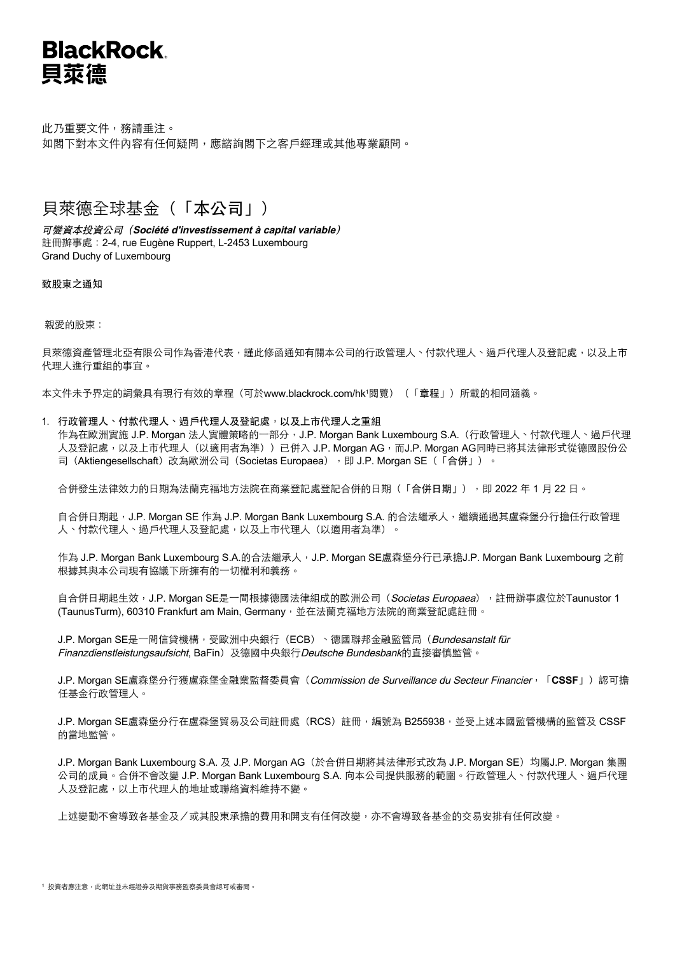## **BlackRock** 貝萊德

此乃重要文件,務請垂注。 如閣下對本文件內容有任何疑問,應諮詢閣下之客戶經理或其他專業顧問。

### 貝萊德全球基金(「本公司」)

可變資本投資公司(**Société d'investissement à capital variable**) 註冊辦事處:2-4, rue Eugène Ruppert, L-2453 Luxembourg Grand Duchy of Luxembourg

致股東之通知

親愛的股東:

貝萊德資產管理北亞有限公司作為香港代表,謹此修函通知有關本公司的行政管理人、付款代理人、過戶代理人及登記處,以及上市 代理人進行重組的事宜。

本文件未予界定的詞彙具有現行有效的章程(可於[www.blackrock.com/hk1](http://www.blackrock.com/hk) 閱覽)(「章程」)所載的相同涵義。

### 1. 行政管理人、付款代理人、過戶代理人及登記處,以及上市代理人之重組

作為在歐洲實施 J.P. Morgan 法人實體策略的一部分,J.P. Morgan Bank Luxembourg S.A.(行政管理人、付款代理人、過戶代理 人及登記處,以及上市代理人(以適用者為準))已併入 J.P. Morgan AG,而J.P. Morgan AG同時已將其法律形式從德國股份公 司 (Aktiengesellschaft) 改為歐洲公司 (Societas Europaea), 即 J.P. Morgan SE (「合併」)。

合併發生法律效力的日期為法蘭克福地方法院在商業登記處登記合併的日期(「合併日期」),即 2022 年 1 月 22 日。

自合併日期起,J.P. Morgan SE 作為 J.P. Morgan Bank Luxembourg S.A. 的合法繼承人,繼續通過其盧森堡分行擔任行政管理 人、付款代理人、過戶代理人及登記處,以及上市代理人(以適用者為準)。

作為 J.P. Morgan Bank Luxembourg S.A.的合法繼承人, J.P. Morgan SE盧森堡分行已承擔J.P. Morgan Bank Luxembourg 之前 根據其與本公司現有協議下所擁有的一切權利和義務。

自合併日期起生效,J.P. Morgan SE是一間根據德國法律組成的歐洲公司(*Societas Europaea*),註冊辦事處位於Taunustor 1 (TaunusTurm), 60310 Frankfurt am Main, Germany, 並在法蘭克福地方法院的商業登記處註冊。

J.P. Morgan SE是一間信貸機構,受歐洲中央銀行(ECB)、德國聯邦金融監管局(Bundesanstalt für Finanzdienstleistungsaufsicht, BaFin)及德國中央銀行Deutsche Bundesbank的直接審慎監管。

J.P. Morgan SE盧森堡分行獲盧森堡金融業監督委員會(Commission de Surveillance du Secteur Financier, 「CSSF」)認可擔 任基金行政管理人。

J.P. Morgan SE盧森堡分行在盧森堡貿易及公司註冊處 (RCS)註冊,編號為 B255938,並受上述本國監管機構的監管及 CSSF 的當地監管。

J.P. Morgan Bank Luxembourg S.A. 及 J.P. Morgan AG(於合併日期將其法律形式改為 J.P. Morgan SE)均屬J.P. Morgan 集團 公司的成員。合併不會改變 J.P. Morgan Bank Luxembourg S.A. 向本公司提供服務的範圍。行政管理人、付款代理人、過戶代理 人及登記處,以上市代理人的地址或聯絡資料維持不變。

上述變動不會導致各基金及/或其股東承擔的費用和開支有任何改變,亦不會導致各基金的交易安排有任何改變。